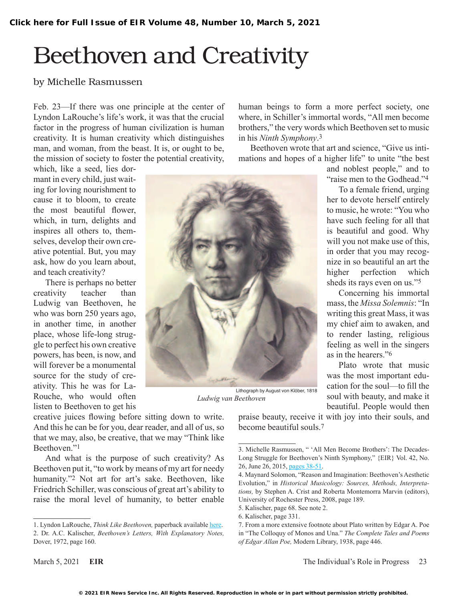# Beethoven and Creativity

#### by Michelle Rasmussen

Feb. 23—If there was one principle at the center of Lyndon LaRouche's life's work, it was that the crucial factor in the progress of human civilization is human creativity. It is human creativity which distinguishes man, and woman, from the beast. It is, or ought to be, the mission of society to foster the potential creativity, human beings to form a more perfect society, one where, in Schiller's immortal words, "All men become brothers," the very words which Beethoven set to music in his *Ninth Symphony*.3

Beethoven wrote that art and science, "Give us intimations and hopes of a higher life" to unite "the best

which, like a seed, lies dormant in every child, just waiting for loving nourishment to cause it to bloom, to create the most beautiful flower, which, in turn, delights and inspires all others to, themselves, develop their own creative potential. But, you may ask, how do you learn about, and teach creativity?

There is perhaps no better creativity teacher than Ludwig van Beethoven, he who was born 250 years ago, in another time, in another place, whose life-long struggle to perfect his own creative powers, has been, is now, and will forever be a monumental source for the study of creativity. This he was for La-Rouche, who would often listen to Beethoven to get his



Lithograph by August von Klöber, 1818 *Ludwig van Beethoven*

and noblest people," and to "raise men to the Godhead"<sup>4</sup>

To a female friend, urging her to devote herself entirely to music, he wrote: "You who have such feeling for all that is beautiful and good. Why will you not make use of this, in order that you may recognize in so beautiful an art the higher perfection which sheds its rays even on us."5

Concerning his immortal mass, the *Missa Solemnis*: "In writing this great Mass, it was my chief aim to awaken, and to render lasting, religious feeling as well in the singers as in the hearers<sup>"6</sup>

Plato wrote that music was the most important education for the soul—to fill the soul with beauty, and make it beautiful. People would then

creative juices flowing before sitting down to write. And this he can be for you, dear reader, and all of us, so that we may, also, be creative, that we may "Think like Beethoven."1

And what is the purpose of such creativity? As Beethoven put it, "to work by means of my art for needy humanity."<sup>2</sup> Not art for art's sake. Beethoven, like Friedrich Schiller, was conscious of great art's ability to raise the moral level of humanity, to better enable praise beauty, receive it with joy into their souls, and become beautiful souls.7

<sup>1.</sup> Lyndon LaRouche, *Think Like Beethoven,* paperback available [here](https://www.amazon.com/Think-Like-Beethoven-Lyndon-LaRouche/dp/1655185640). 2. Dr. A.C. Kalischer, *Beethoven's Letters, With Explanatory Notes,* Dover, 1972, page 160.

<sup>3.</sup> Michelle Rasmussen, " 'All Men Become Brothers': The Decades-Long Struggle for Beethoven's Ninth Symphony," {EIR} Vol. 42, No. 26, June 26, 2015, [pages 38-51.](https://larouchepub.com/eiw/public/2015/eirv42n26-20150626/38-51_4226.pdf)

<sup>4.</sup> Maynard Solomon, "Reason and Imagination: Beethoven's Aesthetic Evolution," in *Historical Musicology: Sources, Methods, Interpretations,* by Stephen A. Crist and Roberta Montemorra Marvin (editors), University of Rochester Press, 2008, page 189.

<sup>5.</sup> Kalischer, page 68. See note 2.

<sup>6.</sup> Kalischer, page 331.

<sup>7.</sup> From a more extensive footnote about Plato written by Edgar A. Poe in "The Colloquy of Monos and Una." *The Complete Tales and Poems of Edgar Allan Poe,* Modern Library, 1938, page 446.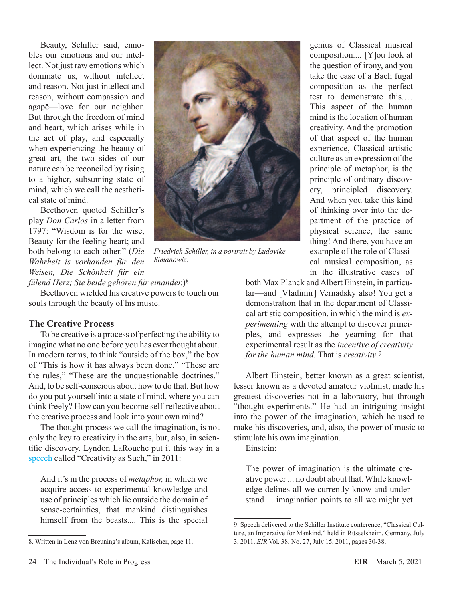Beauty, Schiller said, ennobles our emotions and our intellect. Not just raw emotions which dominate us, without intellect and reason. Not just intellect and reason, without compassion and agapē—love for our neighbor. But through the freedom of mind and heart, which arises while in the act of play, and especially when experiencing the beauty of great art, the two sides of our nature can be reconciled by rising to a higher, subsuming state of mind, which we call the aesthetical state of mind.

Beethoven quoted Schiller's play *Don Carlos* in a letter from 1797: "Wisdom is for the wise, Beauty for the feeling heart; and both belong to each other." (*Die Wahrheit is vorhanden für den Weisen, Die Schönheit für ein* 



*Friedrich Schiller, in a portrait by Ludovike Simanowiz.*

*fülend Herz; Sie beide gehören für einander.*)8

Beethoven wielded his creative powers to touch our souls through the beauty of his music.

#### **The Creative Process**

To be creative is a process of perfecting the ability to imagine what no one before you has ever thought about. In modern terms, to think "outside of the box," the box of "This is how it has always been done," "These are the rules," "These are the unquestionable doctrines." And, to be self-conscious about how to do that. But how do you put yourself into a state of mind, where you can think freely? How can you become self-reflective about the creative process and look into your own mind?

The thought process we call the imagination, is not only the key to creativity in the arts, but, also, in scientific discovery. Lyndon LaRouche put it this way in a [speech](https://larouchepub.com/eiw/public/2011/eirv38n27-20110715/30-38_3827-lar.pdf) called "Creativity as Such," in 2011:

And it's in the process of *metaphor,* in which we acquire access to experimental knowledge and use of principles which lie outside the domain of sense-certainties, that mankind distinguishes himself from the beasts.... This is the special

genius of Classical musical composition.... [Y]ou look at the question of irony, and you take the case of a Bach fugal composition as the perfect test to demonstrate this.… This aspect of the human mind is the location of human creativity. And the promotion of that aspect of the human experience, Classical artistic culture as an expression of the principle of metaphor, is the principle of ordinary discovery, principled discovery. And when you take this kind of thinking over into the department of the practice of physical science, the same thing! And there, you have an example of the role of Classical musical composition, as in the illustrative cases of

both Max Planck and Albert Einstein, in particular—and [Vladimir] Vernadsky also! You get a demonstration that in the department of Classical artistic composition, in which the mind is *experimenting* with the attempt to discover principles, and expresses the yearning for that experimental result as the *incentive of creativity for the human mind.* That is *creativity*.9

Albert Einstein, better known as a great scientist, lesser known as a devoted amateur violinist, made his greatest discoveries not in a laboratory, but through "thought-experiments." He had an intriguing insight into the power of the imagination, which he used to make his discoveries, and, also, the power of music to stimulate his own imagination.

Einstein:

The power of imagination is the ultimate creative power ... no doubt about that. While knowledge defines all we currently know and understand ... imagination points to all we might yet

<sup>8.</sup> Written in Lenz von Breuning's album, Kalischer, page 11.

<sup>9.</sup> Speech delivered to the Schiller Institute conference, "Classical Culture, an Imperative for Mankind," held in Rüsselsheim, Germany, July 3, 2011. *EIR* Vol. 38, No. 27, July 15, 2011, pages 30-38.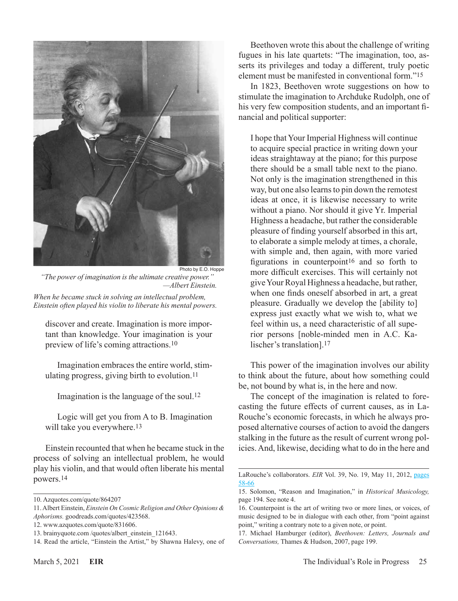

Photo by E.O. Hoppe *"The power of imagination is the ultimate creative power." —Albert Einstein. When he became stuck in solving an intellectual problem, Einstein often played his violin to liberate his mental powers.*

discover and create. Imagination is more important than knowledge. Your imagination is your preview of life's coming attractions.10

Imagination embraces the entire world, stimulating progress, giving birth to evolution.11

Imagination is the language of the soul.12

Logic will get you from A to B. Imagination will take you everywhere.<sup>13</sup>

Einstein recounted that when he became stuck in the process of solving an intellectual problem, he would play his violin, and that would often liberate his mental powers.14

Beethoven wrote this about the challenge of writing fugues in his late quartets: "The imagination, too, asserts its privileges and today a different, truly poetic element must be manifested in conventional form."15

In 1823, Beethoven wrote suggestions on how to stimulate the imagination to Archduke Rudolph, one of his very few composition students, and an important financial and political supporter:

I hope that Your Imperial Highness will continue to acquire special practice in writing down your ideas straightaway at the piano; for this purpose there should be a small table next to the piano. Not only is the imagination strengthened in this way, but one also learns to pin down the remotest ideas at once, it is likewise necessary to write without a piano. Nor should it give Yr. Imperial Highness a headache, but rather the considerable pleasure of finding yourself absorbed in this art, to elaborate a simple melody at times, a chorale, with simple and, then again, with more varied figurations in counterpoint16 and so forth to more difficult exercises. This will certainly not give Your Royal Highness a headache, but rather, when one finds oneself absorbed in art, a great pleasure. Gradually we develop the [ability to] express just exactly what we wish to, what we feel within us, a need characteristic of all superior persons [noble-minded men in A.C. Kalischer's translation].<sup>17</sup>

This power of the imagination involves our ability to think about the future, about how something could be, not bound by what is, in the here and now.

The concept of the imagination is related to forecasting the future effects of current causes, as in La-Rouche's economic forecasts, in which he always proposed alternative courses of action to avoid the dangers stalking in the future as the result of current wrong policies. And, likewise, deciding what to do in the here and

<sup>10.</sup> Azquotes.com/quote/864207

<sup>11.</sup> Albert Einstein, *Einstein On Cosmic Religion and Other Opinions & Aphorisms.* goodreads.com/quotes/423568.

<sup>12.</sup> www.azquotes.com/quote/831606.

<sup>13.</sup> brainyquote.com /quotes/albert\_einstein\_121643.

<sup>14.</sup> Read the article, "Einstein the Artist," by Shawna Halevy, one of

LaRouche's collaborators. *EIR* Vol. 39, No. 19, May 11, 2012, [pages](https://larouchepub.com/eiw/public/2012/eirv39n19-20120511/58-66_3919.pdf) [58-66](https://larouchepub.com/eiw/public/2012/eirv39n19-20120511/58-66_3919.pdf)

<sup>15.</sup> Solomon, "Reason and Imagination," in *Historical Musicology,* page 194. See note 4.

<sup>16.</sup> Counterpoint is the art of writing two or more lines, or voices, of music designed to be in dialogue with each other, from "point against point," writing a contrary note to a given note, or point.

<sup>17.</sup> Michael Hamburger (editor), *Beethoven: Letters, Journals and Conversations,* Thames & Hudson, 2007, page 199.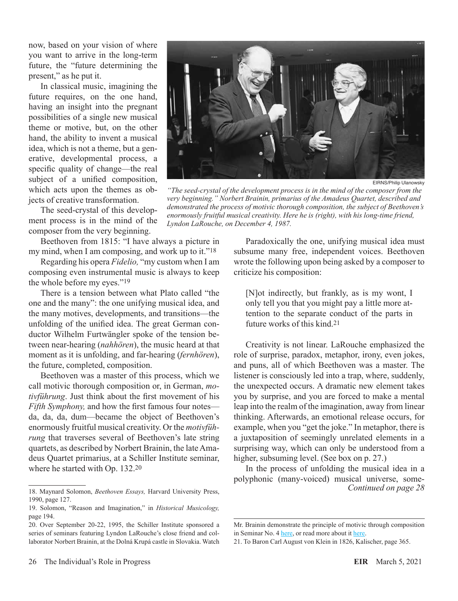now, based on your vision of where you want to arrive in the long-term future, the "future determining the present," as he put it.

In classical music, imagining the future requires, on the one hand, having an insight into the pregnant possibilities of a single new musical theme or motive, but, on the other hand, the ability to invent a musical idea, which is not a theme, but a generative, developmental process, a specific quality of change—the real subject of a unified composition, which acts upon the themes as objects of creative transformation.

The seed-crystal of this development process is in the mind of the composer from the very beginning.

Beethoven from 1815: "I have always a picture in my mind, when I am composing, and work up to it."<sup>18</sup>

Regarding his opera *Fidelio,* "my custom when I am composing even instrumental music is always to keep the whole before my eyes."19

There is a tension between what Plato called "the one and the many": the one unifying musical idea, and the many motives, developments, and transitions—the unfolding of the unified idea. The great German conductor Wilhelm Furtwängler spoke of the tension between near-hearing (*nahhören*), the music heard at that moment as it is unfolding, and far-hearing (*fernhören*), the future, completed, composition.

Beethoven was a master of this process, which we call motivic thorough composition or, in German, *motivführung*. Just think about the first movement of his *Fifth Symphony,* and how the first famous four notes da, da, da, dum—became the object of Beethoven's enormously fruitful musical creativity. Or the *motivführung* that traverses several of Beethoven's late string quartets, as described by Norbert Brainin, the late Amadeus Quartet primarius, at a Schiller Institute seminar, where he started with Op. 132.20



EIRNS/Philip Ulanowsky

*"The seed-crystal of the development process is in the mind of the composer from the very beginning." Norbert Brainin, primarius of the Amadeus Quartet, described and demonstrated the process of motivic thorough composition, the subject of Beethoven's enormously fruitful musical creativity. Here he is (right), with his long-time friend, Lyndon LaRouche, on December 4, 1987.*

Paradoxically the one, unifying musical idea must subsume many free, independent voices. Beethoven wrote the following upon being asked by a composer to criticize his composition:

[N]ot indirectly, but frankly, as is my wont, I only tell you that you might pay a little more attention to the separate conduct of the parts in future works of this kind.21

Creativity is not linear. LaRouche emphasized the role of surprise, paradox, metaphor, irony, even jokes, and puns, all of which Beethoven was a master. The listener is consciously led into a trap, where, suddenly, the unexpected occurs. A dramatic new element takes you by surprise, and you are forced to make a mental leap into the realm of the imagination, away from linear thinking. Afterwards, an emotional release occurs, for example, when you "get the joke." In metaphor, there is a juxtaposition of seemingly unrelated elements in a surprising way, which can only be understood from a higher, subsuming level. (See box on p. 27.)

In the process of unfolding the musical idea in a polyphonic (many-voiced) musical universe, some-*Continued on page 28*

<sup>18.</sup> Maynard Solomon, *Beethoven Essays,* Harvard University Press, 1990, page 127.

<sup>19.</sup> Solomon, "Reason and Imagination," in *Historical Musicology,* page 194.

<sup>20.</sup> Over September 20-22, 1995, the Schiller Institute sponsored a series of seminars featuring Lyndon LaRouche's close friend and collaborator Norbert Brainin, at the Dolná Krupá castle in Slovakia. Watch

Mr. Brainin demonstrate the principle of motivic through composition in Seminar No. 4 [here,](https://youtu.be/Hk74vsoMKLc) or read more about it [here.](https://archive.schillerinstitute.com/music/1995/brainin_demo1.html)

<sup>21.</sup> To Baron Carl August von Klein in 1826, Kalischer, page 365.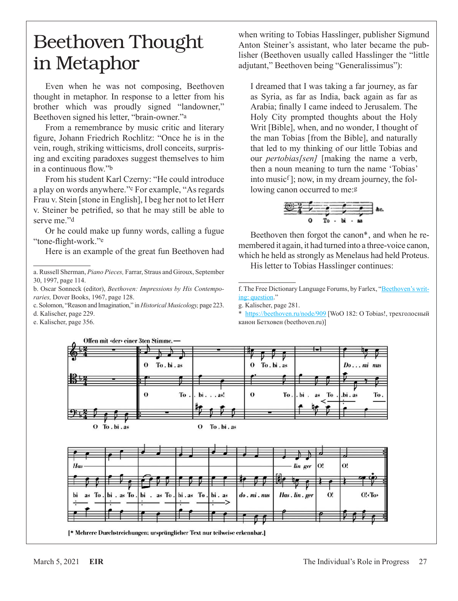## Beethoven Thought in Metaphor

Even when he was not composing, Beethoven thought in metaphor. In response to a letter from his brother which was proudly signed "landowner," Beethoven signed his letter, "brain-owner."a

From a remembrance by music critic and literary figure, Johann Friedrich Rochlitz: "Once he is in the vein, rough, striking witticisms, droll conceits, surprising and exciting paradoxes suggest themselves to him in a continuous flow."b

From his student Karl Czerny: "He could introduce a play on words anywhere."c For example, "As regards Frau v. Stein [stone in English], I beg her not to let Herr v. Steiner be petrified, so that he may still be able to serve me."<sup>d</sup>

Or he could make up funny words, calling a fugue "tone-flight-work."e5

Here is an example of the great fun Beethoven had

c. Solomon, "Reason and Imagination," in *Historical Musicology,* page 223.

d. Kalischer, page 229.

e. Kalischer, page 356.

when writing to Tobias Hasslinger, publisher Sigmund Anton Steiner's assistant, who later became the publisher (Beethoven usually called Hasslinger the "little adjutant," Beethoven being "Generalissimus"):

I dreamed that I was taking a far journey, as far as Syria, as far as India, back again as far as Arabia; finally I came indeed to Jerusalem. The Holy City prompted thoughts about the Holy Writ [Bible], when, and no wonder, I thought of the man Tobias [from the Bible], and naturally that led to my thinking of our little Tobias and our *pertobias[sen]* [making the name a verb, then a noun meaning to turn the name 'Tobias' into music<sup> $f$ </sup>]; now, in my dream journey, the following canon occurred to me:<sup>g</sup>

$$
\begin{array}{c|cccc}\n\textcircled{\tiny 2} & & & & & \\
\hline\n\textcircled{\tiny 2} & & & & & & \\
\hline\n\textcirc & & & & & & \\
\textcirc & & & & & & & \\
\end{array}
$$

Beethoven then forgot the canon<sup>\*</sup>, and when he remembered it again, it had turned into a three-voice canon, which he held as strongly as Menelaus had held Proteus.

His letter to Tobias Hasslinger continues:

f. The Free Dictionary Language Forums, by Farlex, "[Beethoven's writ](https://forum.thefreedictionary.com/postst94588_Beethoven-s-writing--question.aspx)[ing: question.](https://forum.thefreedictionary.com/postst94588_Beethoven-s-writing--question.aspx)"

g. Kalischer, page 281.

\* <https://beethoven.ru/node/909> [WoO 182: O Tobias!, трехголосный канон Бетховен (beethoven.ru)]



a. Russell Sherman, *Piano Pieces,* Farrar, Straus and Giroux, September 30, 1997, page 114.

b. Oscar Sonneck (editor), *Beethoven: Impressions by His Contemporaries,* Dover Books, 1967, page 128.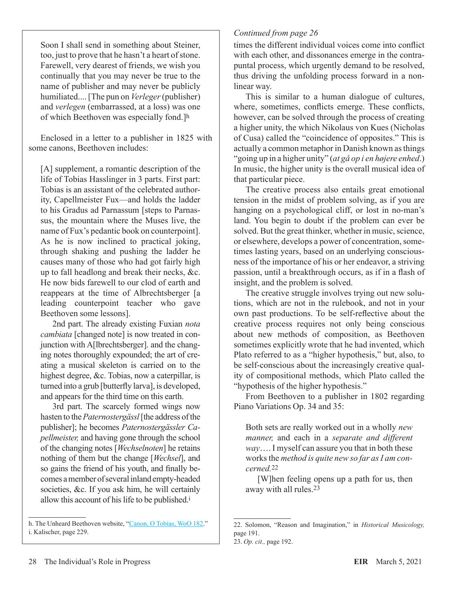Soon I shall send in something about Steiner, too, just to prove that he hasn't a heart of stone. Farewell, very dearest of friends, we wish you continually that you may never be true to the name of publisher and may never be publicly humiliated.... [The pun on *Verleger* (publisher) and *verlegen* (embarrassed, at a loss) was one of which Beethoven was especially fond.]h

Enclosed in a letter to a publisher in 1825 with some canons, Beethoven includes:

[A] supplement, a romantic description of the life of Tobias Hasslinger in 3 parts. First part: Tobias is an assistant of the celebrated authority, Capellmeister Fux—and holds the ladder to his Gradus ad Parnassum [steps to Parnassus, the mountain where the Muses live, the name of Fux's pedantic book on counterpoint]. As he is now inclined to practical joking, through shaking and pushing the ladder he causes many of those who had got fairly high up to fall headlong and break their necks, &c. He now bids farewell to our clod of earth and reappears at the time of Albrechtsberger [a leading counterpoint teacher who gave Beethoven some lessons].

2nd part. The already existing Fuxian *nota cambiata* [changed note] is now treated in conjunction with A[lbrechtsberger]. and the changing notes thoroughly expounded; the art of creating a musical skeleton is carried on to the highest degree, &c. Tobias, now a caterpillar, is turned into a grub [butterfly larva], is developed, and appears for the third time on this earth.

3rd part. The scarcely formed wings now hasten to the *Paternostergässl* [the address of the publisher]; he becomes *Paternostergässler Capellmeister,* and having gone through the school of the changing notes [*Wechselnoten*] he retains nothing of them but the change [*Wechsel*], and so gains the friend of his youth, and finally becomes a member of several inland empty-headed societies, &c. If you ask him, he will certainly allow this account of his life to be published.<sup>i</sup>

#### *Continued from page 26*

times the different individual voices come into conflict with each other, and dissonances emerge in the contrapuntal process, which urgently demand to be resolved, thus driving the unfolding process forward in a nonlinear way.

This is similar to a human dialogue of cultures, where, sometimes, conflicts emerge. These conflicts, however, can be solved through the process of creating a higher unity, the which Nikolaus von Kues (Nicholas of Cusa) called the "coincidence of opposites." This is actually a common metaphor in Danish known as things "going up in a higher unity" (*at gå op i en højere enhed*.) In music, the higher unity is the overall musical idea of that particular piece.

The creative process also entails great emotional tension in the midst of problem solving, as if you are hanging on a psychological cliff, or lost in no-man's land. You begin to doubt if the problem can ever be solved. But the great thinker, whether in music, science, or elsewhere, develops a power of concentration, sometimes lasting years, based on an underlying consciousness of the importance of his or her endeavor, a striving passion, until a breakthrough occurs, as if in a flash of insight, and the problem is solved.

The creative struggle involves trying out new solutions, which are not in the rulebook, and not in your own past productions. To be self-reflective about the creative process requires not only being conscious about new methods of composition, as Beethoven sometimes explicitly wrote that he had invented, which Plato referred to as a "higher hypothesis," but, also, to be self-conscious about the increasingly creative quality of compositional methods, which Plato called the "hypothesis of the higher hypothesis."

From Beethoven to a publisher in 1802 regarding Piano Variations Op. 34 and 35:

Both sets are really worked out in a wholly *new manner,* and each in a *separate and different way*…. I myself can assure you that in both these works the *method is quite new so far as I am concerned.*22

[W]hen feeling opens up a path for us, then away with all rules.23

h. The Unheard Beethoven website, "[Canon, O Tobias, WoO 182](https://unheardbeethoven.org/search.php?Identifier=woo182)." i. Kalischer, page 229.

<sup>22.</sup> Solomon, "Reason and Imagination," in *Historical Musicology,* page 191. 23. *Op. cit.,* page 192.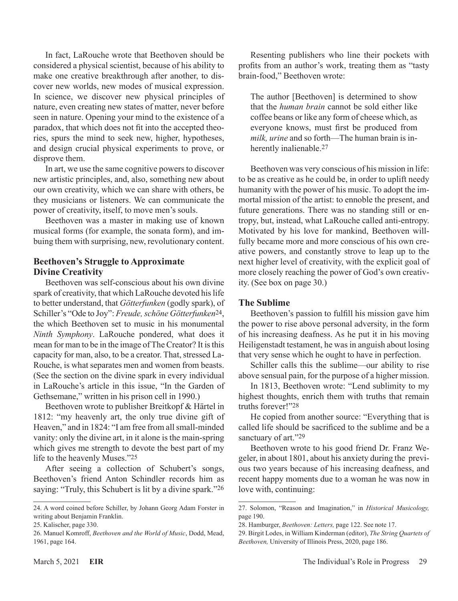In fact, LaRouche wrote that Beethoven should be considered a physical scientist, because of his ability to make one creative breakthrough after another, to discover new worlds, new modes of musical expression. In science, we discover new physical principles of nature, even creating new states of matter, never before seen in nature. Opening your mind to the existence of a paradox, that which does not fit into the accepted theories, spurs the mind to seek new, higher, hypotheses, and design crucial physical experiments to prove, or disprove them.

In art, we use the same cognitive powers to discover new artistic principles, and, also, something new about our own creativity, which we can share with others, be they musicians or listeners. We can communicate the power of creativity, itself, to move men's souls.

Beethoven was a master in making use of known musical forms (for example, the sonata form), and imbuing them with surprising, new, revolutionary content.

#### **Beethoven's Struggle to Approximate Divine Creativity**

Beethoven was self-conscious about his own divine spark of creativity, that which LaRouche devoted his life to better understand, that *Götterfunken* (godly spark), of Schiller's "Ode to Joy": *Freude, schöne Götterfunken*24, the which Beethoven set to music in his monumental *Ninth Symphony*. LaRouche pondered, what does it mean for man to be in the image of The Creator? It is this capacity for man, also, to be a creator. That, stressed La-Rouche, is what separates men and women from beasts. (See the section on the divine spark in every individual in LaRouche's article in this issue, "In the Garden of Gethsemane," written in his prison cell in 1990.)

Beethoven wrote to publisher Breitkopf & Härtel in 1812: "my heavenly art, the only true divine gift of Heaven," and in 1824: "I am free from all small-minded vanity: only the divine art, in it alone is the main-spring which gives me strength to devote the best part of my life to the heavenly Muses."25

After seeing a collection of Schubert's songs, Beethoven's friend Anton Schindler records him as saying: "Truly, this Schubert is lit by a divine spark."26

Resenting publishers who line their pockets with profits from an author's work, treating them as "tasty brain-food," Beethoven wrote:

The author [Beethoven] is determined to show that the *human brain* cannot be sold either like coffee beans or like any form of cheese which, as everyone knows, must first be produced from *milk, urine* and so forth—The human brain is inherently inalienable.<sup>27</sup>

Beethoven was very conscious of his mission in life: to be as creative as he could be, in order to uplift needy humanity with the power of his music. To adopt the immortal mission of the artist: to ennoble the present, and future generations. There was no standing still or entropy, but, instead, what LaRouche called anti-entropy. Motivated by his love for mankind, Beethoven willfully became more and more conscious of his own creative powers, and constantly strove to leap up to the next higher level of creativity, with the explicit goal of more closely reaching the power of God's own creativity. (See box on page 30.)

#### **The Sublime**

Beethoven's passion to fulfill his mission gave him the power to rise above personal adversity, in the form of his increasing deafness. As he put it in his moving Heiligenstadt testament, he was in anguish about losing that very sense which he ought to have in perfection.

Schiller calls this the sublime—our ability to rise above sensual pain, for the purpose of a higher mission.

In 1813, Beethoven wrote: "Lend sublimity to my highest thoughts, enrich them with truths that remain truths forever!"28

He copied from another source: "Everything that is called life should be sacrificed to the sublime and be a sanctuary of art."29

Beethoven wrote to his good friend Dr. Franz Wegeler, in about 1801, about his anxiety during the previous two years because of his increasing deafness, and recent happy moments due to a woman he was now in love with, continuing:

<sup>24.</sup> A word coined before Schiller, by Johann Georg Adam Forster in writing about Benjamin Franklin.

<sup>25.</sup> Kalischer, page 330.

<sup>26.</sup> Manuel Komroff, *Beethoven and the World of Music*, Dodd, Mead, 1961, page 164.

<sup>27.</sup> Solomon, "Reason and Imagination," in *Historical Musicology,* page 190.

<sup>28.</sup> Hamburger, *Beethoven: Letters,* page 122. See note 17.

<sup>29.</sup> Birgit Lodes, in William Kinderman (editor), *The String Quartets of Beethoven,* University of Illinois Press, 2020, page 186.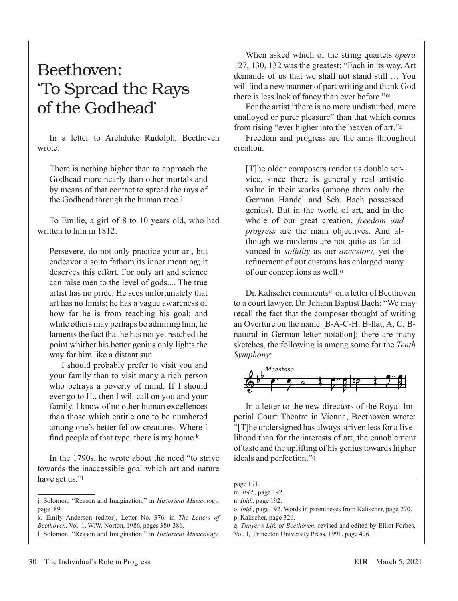### Beethoven: 'To Spread the Rays of the Godhead'

In a letter to Archduke Rudolph, Beethoven wrote:

There is nothing higher than to approach the Godhead more nearly than other mortals and by means of that contact to spread the rays of the Godhead through the human race.j

To Emilie, a girl of 8 to 10 years old, who had written to him in 1812:

Persevere, do not only practice your art, but endeavor also to fathom its inner meaning; it deserves this effort. For only art and science can raise men to the level of gods.... The true artist has no pride. He sees unfortunately that art has no limits; he has a vague awareness of how far he is from reaching his goal; and while others may perhaps be admiring him, he laments the fact that he has not yet reached the point whither his better genius only lights the way for him like a distant sun.

I should probably prefer to visit you and your family than to visit many a rich person who betrays a poverty of mind. If I should ever go to H., then I will call on you and your family. I know of no other human excellences than those which entitle one to be numbered among one's better fellow creatures. Where I find people of that type, there is my home. $k$ 

In the 1790s, he wrote about the need "to strive towards the inaccessible goal which art and nature have set us."<sup>1</sup>

l. Solomon, "Reason and Imagination," in *Historical Musicology,*

When asked which of the string quartets *opera* 127, 130, 132 was the greatest: "Each in its way. Art demands of us that we shall not stand still…. You will find a new manner of part writing and thank God there is less lack of fancy than ever before."m

For the artist "there is no more undisturbed, more unalloyed or purer pleasure" than that which comes from rising "ever higher into the heaven of art."<sup>n</sup>

Freedom and progress are the aims throughout creation:

[T]he older composers render us double service, since there is generally real artistic value in their works (among them only the German Handel and Seb. Bach possessed genius). But in the world of art, and in the whole of our great creation, *freedom and progress* are the main objectives. And although we moderns are not quite as far advanced in *solidity* as our *ancestors,* yet the refinement of our customs has enlarged many of our conceptions as well.<sup>o</sup>

Dr. Kalischer comments<sup>p</sup> on a letter of Beethoven to a court lawyer, Dr. Johann Baptist Bach: "We may recall the fact that the composer thought of writing an Overture on the name [B-A-C-H: B-flat, A, C, Bnatural in German letter notation]; there are many sketches, the following is among some for the *Tenth Symphony*:



In a letter to the new directors of the Royal Imperial Court Theatre in Vienna, Beethoven wrote: "[T]he undersigned has always striven less for a livelihood than for the interests of art, the ennoblement of taste and the uplifting of his genius towards higher ideals and perfection."<sup>q</sup>

j. Solomon, "Reason and Imagination," in *Historical Musicology,* page189.

k. Emily Anderson (editor), Letter No. 376, in *The Letters of Beethoven,* Vol. 1, W.W. Norton, 1986, pages 380-381.

page 191.

m. *Ibid.,* page 192.

n. *Ibid.,* page 192.

o. *Ibid.,* page 192. Words in parentheses from Kalischer, page 270. p. Kalischer, page 326.

q. *Thayer's Life of Beethoven,* revised and edited by Elliot Forbes, Vol. I, Princeton University Press, 1991, page 426.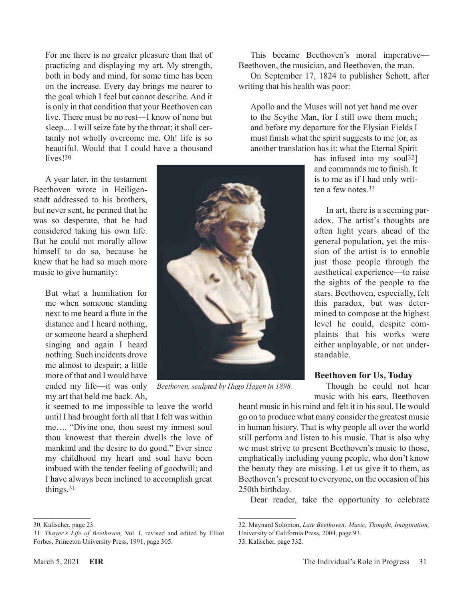For me there is no greater pleasure than that of practicing and displaying my art. My strength, both in body and mind, for some time has been on the increase. Every day brings me nearer to the goal which I feel but cannot describe. And it is only in that condition that your Beethoven can live. There must be no rest—I know of none but sleep.... I will seize fate by the throat; it shall certainly not wholly overcome me. Oh! life is so beautiful. Would that I could have a thousand lives!<sup>30</sup>

A year later, in the testament Beethoven wrote in Heiligenstadt addressed to his brothers, but never sent, he penned that he was so desperate, that he had considered taking his own life. But he could not morally allow himself to do so, because he knew that he had so much more music to give humanity:

> But what a humiliation for me when someone standing next to me heard a flute in the distance and I heard nothing, or someone heard a shepherd singing and again I heard nothing. Such incidents drove me almost to despair; a little more of that and I would have ended my life—it was only my art that held me back. Ah,

it seemed to me impossible to leave the world until I had brought forth all that I felt was within me…. "Divine one, thou seest my inmost soul thou knowest that therein dwells the love of mankind and the desire to do good." Ever since my childhood my heart and soul have been imbued with the tender feeling of goodwill; and I have always been inclined to accomplish great things.31

*Beethoven, sculpted by Hugo Hagen in 1898.*

This became Beethoven's moral imperative— Beethoven, the musician, and Beethoven, the man.

On September 17, 1824 to publisher Schott, after writing that his health was poor:

Apollo and the Muses will not yet hand me over to the Scythe Man, for I still owe them much; and before my departure for the Elysian Fields I must finish what the spirit suggests to me [or, as another translation has it: what the Eternal Spirit

> has infused into my soul<sup>32</sup>] and commands me to finish. It is to me as if I had only written a few notes.33

In art, there is a seeming paradox. The artist's thoughts are often light years ahead of the general population, yet the mission of the artist is to ennoble just those people through the aesthetical experience—to raise the sights of the people to the stars. Beethoven, especially, felt this paradox, but was determined to compose at the highest level he could, despite complaints that his works were either unplayable, or not understandable.

#### **Beethoven for Us, Today**

Though he could not hear music with his ears, Beethoven

heard music in his mind and felt it in his soul. He would go on to produce what many consider the greatest music in human history. That is why people all over the world still perform and listen to his music. That is also why we must strive to present Beethoven's music to those, emphatically including young people, who don't know the beauty they are missing. Let us give it to them, as Beethoven's present to everyone, on the occasion of his 250th birthday.

Dear reader, take the opportunity to celebrate



<sup>30.</sup> Kalischer, page 23.

<sup>31.</sup> *Thayer's Life of Beethoven,* Vol. I, revised and edited by Elliot Forbes, Princeton University Press, 1991, page 305.

<sup>32.</sup> Maynard Solomon, *Late Beethoven: Music, Thought, Imagination,* University of California Press, 2004, page 93.

<sup>33.</sup> Kalischer, page 332.